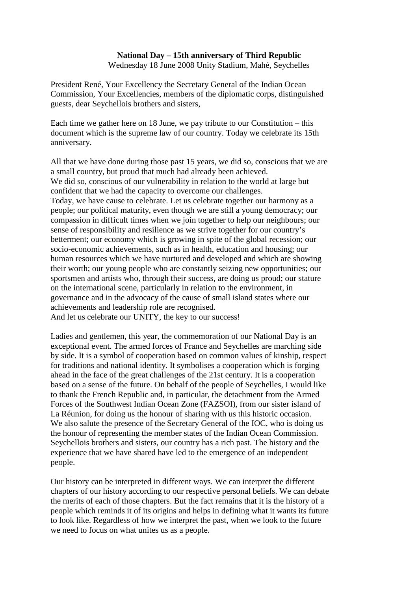# **National Day – 15th anniversary of Third Republic**

Wednesday 18 June 2008 Unity Stadium, Mahé, Seychelles

President René, Your Excellency the Secretary General of the Indian Ocean Commission, Your Excellencies, members of the diplomatic corps, distinguished guests, dear Seychellois brothers and sisters,

Each time we gather here on 18 June, we pay tribute to our Constitution – this document which is the supreme law of our country. Today we celebrate its 15th anniversary.

All that we have done during those past 15 years, we did so, conscious that we are a small country, but proud that much had already been achieved. We did so, conscious of our vulnerability in relation to the world at large but confident that we had the capacity to overcome our challenges. Today, we have cause to celebrate. Let us celebrate together our harmony as a people; our political maturity, even though we are still a young democracy; our compassion in difficult times when we join together to help our neighbours; our sense of responsibility and resilience as we strive together for our country's betterment; our economy which is growing in spite of the global recession; our socio-economic achievements, such as in health, education and housing; our human resources which we have nurtured and developed and which are showing their worth; our young people who are constantly seizing new opportunities; our sportsmen and artists who, through their success, are doing us proud; our stature on the international scene, particularly in relation to the environment, in governance and in the advocacy of the cause of small island states where our achievements and leadership role are recognised. And let us celebrate our UNITY, the key to our success!

Ladies and gentlemen, this year, the commemoration of our National Day is an exceptional event. The armed forces of France and Seychelles are marching side by side. It is a symbol of cooperation based on common values of kinship, respect for traditions and national identity. It symbolises a cooperation which is forging ahead in the face of the great challenges of the 21st century. It is a cooperation based on a sense of the future. On behalf of the people of Seychelles, I would like to thank the French Republic and, in particular, the detachment from the Armed Forces of the Southwest Indian Ocean Zone (FAZSOI), from our sister island of La Réunion, for doing us the honour of sharing with us this historic occasion. We also salute the presence of the Secretary General of the IOC, who is doing us the honour of representing the member states of the Indian Ocean Commission. Seychellois brothers and sisters, our country has a rich past. The history and the experience that we have shared have led to the emergence of an independent people.

Our history can be interpreted in different ways. We can interpret the different chapters of our history according to our respective personal beliefs. We can debate the merits of each of those chapters. But the fact remains that it is the history of a people which reminds it of its origins and helps in defining what it wants its future to look like. Regardless of how we interpret the past, when we look to the future we need to focus on what unites us as a people.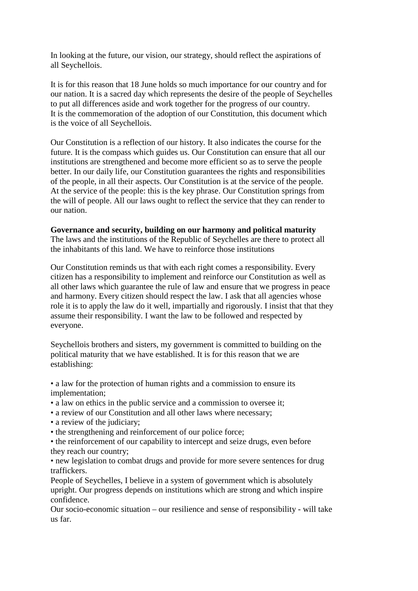In looking at the future, our vision, our strategy, should reflect the aspirations of all Seychellois.

It is for this reason that 18 June holds so much importance for our country and for our nation. It is a sacred day which represents the desire of the people of Seychelles to put all differences aside and work together for the progress of our country. It is the commemoration of the adoption of our Constitution, this document which is the voice of all Seychellois.

Our Constitution is a reflection of our history. It also indicates the course for the future. It is the compass which guides us. Our Constitution can ensure that all our institutions are strengthened and become more efficient so as to serve the people better. In our daily life, our Constitution guarantees the rights and responsibilities of the people, in all their aspects. Our Constitution is at the service of the people. At the service of the people: this is the key phrase. Our Constitution springs from the will of people. All our laws ought to reflect the service that they can render to our nation.

#### **Governance and security, building on our harmony and political maturity**

The laws and the institutions of the Republic of Seychelles are there to protect all the inhabitants of this land. We have to reinforce those institutions

Our Constitution reminds us that with each right comes a responsibility. Every citizen has a responsibility to implement and reinforce our Constitution as well as all other laws which guarantee the rule of law and ensure that we progress in peace and harmony. Every citizen should respect the law. I ask that all agencies whose role it is to apply the law do it well, impartially and rigorously. I insist that that they assume their responsibility. I want the law to be followed and respected by everyone.

Seychellois brothers and sisters, my government is committed to building on the political maturity that we have established. It is for this reason that we are establishing:

• a law for the protection of human rights and a commission to ensure its implementation;

- a law on ethics in the public service and a commission to oversee it;
- a review of our Constitution and all other laws where necessary;
- a review of the judiciary;
- the strengthening and reinforcement of our police force;

• the reinforcement of our capability to intercept and seize drugs, even before they reach our country;

• new legislation to combat drugs and provide for more severe sentences for drug traffickers.

People of Seychelles, I believe in a system of government which is absolutely upright. Our progress depends on institutions which are strong and which inspire confidence.

Our socio-economic situation – our resilience and sense of responsibility - will take us far.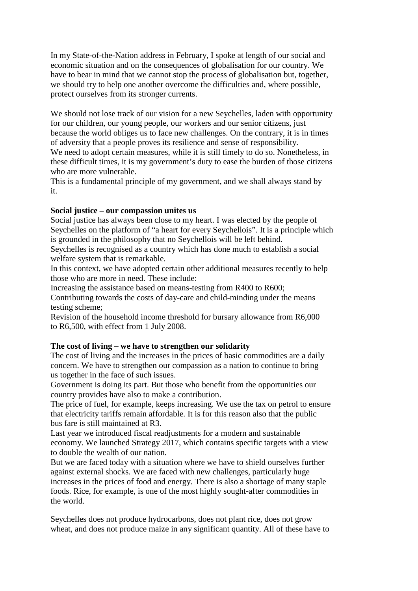In my State-of-the-Nation address in February, I spoke at length of our social and economic situation and on the consequences of globalisation for our country. We have to bear in mind that we cannot stop the process of globalisation but, together, we should try to help one another overcome the difficulties and, where possible, protect ourselves from its stronger currents.

We should not lose track of our vision for a new Seychelles, laden with opportunity for our children, our young people, our workers and our senior citizens, just because the world obliges us to face new challenges. On the contrary, it is in times of adversity that a people proves its resilience and sense of responsibility.

We need to adopt certain measures, while it is still timely to do so. Nonetheless, in these difficult times, it is my government's duty to ease the burden of those citizens who are more vulnerable.

This is a fundamental principle of my government, and we shall always stand by it.

# **Social justice – our compassion unites us**

Social justice has always been close to my heart. I was elected by the people of Seychelles on the platform of "a heart for every Seychellois". It is a principle which is grounded in the philosophy that no Seychellois will be left behind.

Seychelles is recognised as a country which has done much to establish a social welfare system that is remarkable.

In this context, we have adopted certain other additional measures recently to help those who are more in need. These include:

Increasing the assistance based on means-testing from R400 to R600;

Contributing towards the costs of day-care and child-minding under the means testing scheme;

Revision of the household income threshold for bursary allowance from R6,000 to R6,500, with effect from 1 July 2008.

# **The cost of living – we have to strengthen our solidarity**

The cost of living and the increases in the prices of basic commodities are a daily concern. We have to strengthen our compassion as a nation to continue to bring us together in the face of such issues.

Government is doing its part. But those who benefit from the opportunities our country provides have also to make a contribution.

The price of fuel, for example, keeps increasing. We use the tax on petrol to ensure that electricity tariffs remain affordable. It is for this reason also that the public bus fare is still maintained at R3.

Last year we introduced fiscal readjustments for a modern and sustainable economy. We launched Strategy 2017, which contains specific targets with a view to double the wealth of our nation.

But we are faced today with a situation where we have to shield ourselves further against external shocks. We are faced with new challenges, particularly huge increases in the prices of food and energy. There is also a shortage of many staple foods. Rice, for example, is one of the most highly sought-after commodities in the world.

Seychelles does not produce hydrocarbons, does not plant rice, does not grow wheat, and does not produce maize in any significant quantity. All of these have to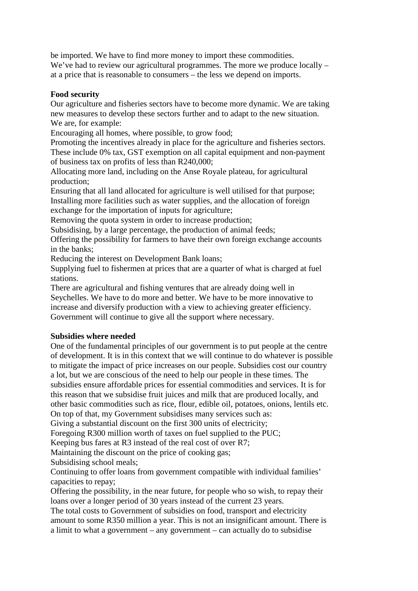be imported. We have to find more money to import these commodities. We've had to review our agricultural programmes. The more we produce locally – at a price that is reasonable to consumers – the less we depend on imports.

## **Food security**

Our agriculture and fisheries sectors have to become more dynamic. We are taking new measures to develop these sectors further and to adapt to the new situation. We are, for example:

Encouraging all homes, where possible, to grow food;

Promoting the incentives already in place for the agriculture and fisheries sectors. These include 0% tax, GST exemption on all capital equipment and non-payment of business tax on profits of less than R240,000;

Allocating more land, including on the Anse Royale plateau, for agricultural production;

Ensuring that all land allocated for agriculture is well utilised for that purpose; Installing more facilities such as water supplies, and the allocation of foreign exchange for the importation of inputs for agriculture;

Removing the quota system in order to increase production;

Subsidising, by a large percentage, the production of animal feeds;

Offering the possibility for farmers to have their own foreign exchange accounts in the banks;

Reducing the interest on Development Bank loans;

Supplying fuel to fishermen at prices that are a quarter of what is charged at fuel stations.

There are agricultural and fishing ventures that are already doing well in Seychelles. We have to do more and better. We have to be more innovative to increase and diversify production with a view to achieving greater efficiency. Government will continue to give all the support where necessary.

#### **Subsidies where needed**

One of the fundamental principles of our government is to put people at the centre of development. It is in this context that we will continue to do whatever is possible to mitigate the impact of price increases on our people. Subsidies cost our country a lot, but we are conscious of the need to help our people in these times. The subsidies ensure affordable prices for essential commodities and services. It is for this reason that we subsidise fruit juices and milk that are produced locally, and other basic commodities such as rice, flour, edible oil, potatoes, onions, lentils etc. On top of that, my Government subsidises many services such as:

Giving a substantial discount on the first 300 units of electricity;

Foregoing R300 million worth of taxes on fuel supplied to the PUC;

Keeping bus fares at R3 instead of the real cost of over R7;

Maintaining the discount on the price of cooking gas;

Subsidising school meals;

Continuing to offer loans from government compatible with individual families' capacities to repay;

Offering the possibility, in the near future, for people who so wish, to repay their loans over a longer period of 30 years instead of the current 23 years.

The total costs to Government of subsidies on food, transport and electricity amount to some R350 million a year. This is not an insignificant amount. There is a limit to what a government – any government – can actually do to subsidise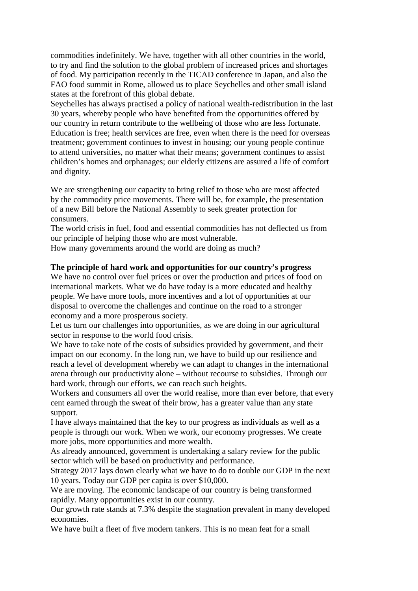commodities indefinitely. We have, together with all other countries in the world, to try and find the solution to the global problem of increased prices and shortages of food. My participation recently in the TICAD conference in Japan, and also the FAO food summit in Rome, allowed us to place Seychelles and other small island states at the forefront of this global debate.

Seychelles has always practised a policy of national wealth-redistribution in the last 30 years, whereby people who have benefited from the opportunities offered by our country in return contribute to the wellbeing of those who are less fortunate. Education is free; health services are free, even when there is the need for overseas treatment; government continues to invest in housing; our young people continue to attend universities, no matter what their means; government continues to assist children's homes and orphanages; our elderly citizens are assured a life of comfort and dignity.

We are strengthening our capacity to bring relief to those who are most affected by the commodity price movements. There will be, for example, the presentation of a new Bill before the National Assembly to seek greater protection for consumers.

The world crisis in fuel, food and essential commodities has not deflected us from our principle of helping those who are most vulnerable.

How many governments around the world are doing as much?

### **The principle of hard work and opportunities for our country's progress**

We have no control over fuel prices or over the production and prices of food on international markets. What we do have today is a more educated and healthy people. We have more tools, more incentives and a lot of opportunities at our disposal to overcome the challenges and continue on the road to a stronger economy and a more prosperous society.

Let us turn our challenges into opportunities, as we are doing in our agricultural sector in response to the world food crisis.

We have to take note of the costs of subsidies provided by government, and their impact on our economy. In the long run, we have to build up our resilience and reach a level of development whereby we can adapt to changes in the international arena through our productivity alone – without recourse to subsidies. Through our hard work, through our efforts, we can reach such heights.

Workers and consumers all over the world realise, more than ever before, that every cent earned through the sweat of their brow, has a greater value than any state support.

I have always maintained that the key to our progress as individuals as well as a people is through our work. When we work, our economy progresses. We create more jobs, more opportunities and more wealth.

As already announced, government is undertaking a salary review for the public sector which will be based on productivity and performance.

Strategy 2017 lays down clearly what we have to do to double our GDP in the next 10 years. Today our GDP per capita is over \$10,000.

We are moving. The economic landscape of our country is being transformed rapidly. Many opportunities exist in our country.

Our growth rate stands at 7.3% despite the stagnation prevalent in many developed economies.

We have built a fleet of five modern tankers. This is no mean feat for a small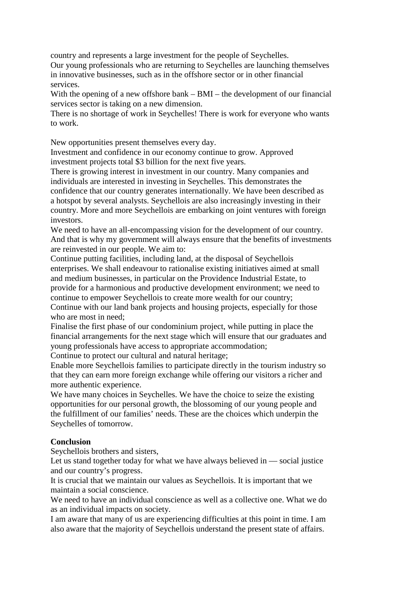country and represents a large investment for the people of Seychelles.

Our young professionals who are returning to Seychelles are launching themselves in innovative businesses, such as in the offshore sector or in other financial services.

With the opening of a new offshore bank – BMI – the development of our financial services sector is taking on a new dimension.

There is no shortage of work in Seychelles! There is work for everyone who wants to work.

New opportunities present themselves every day.

Investment and confidence in our economy continue to grow. Approved investment projects total \$3 billion for the next five years.

There is growing interest in investment in our country. Many companies and individuals are interested in investing in Seychelles. This demonstrates the confidence that our country generates internationally. We have been described as a hotspot by several analysts. Seychellois are also increasingly investing in their country. More and more Seychellois are embarking on joint ventures with foreign investors.

We need to have an all-encompassing vision for the development of our country. And that is why my government will always ensure that the benefits of investments are reinvested in our people. We aim to:

Continue putting facilities, including land, at the disposal of Seychellois enterprises. We shall endeavour to rationalise existing initiatives aimed at small and medium businesses, in particular on the Providence Industrial Estate, to provide for a harmonious and productive development environment; we need to continue to empower Seychellois to create more wealth for our country; Continue with our land bank projects and housing projects, especially for those who are most in need;

Finalise the first phase of our condominium project, while putting in place the financial arrangements for the next stage which will ensure that our graduates and young professionals have access to appropriate accommodation;

Continue to protect our cultural and natural heritage;

Enable more Seychellois families to participate directly in the tourism industry so that they can earn more foreign exchange while offering our visitors a richer and more authentic experience.

We have many choices in Seychelles. We have the choice to seize the existing opportunities for our personal growth, the blossoming of our young people and the fulfillment of our families' needs. These are the choices which underpin the Seychelles of tomorrow.

# **Conclusion**

Seychellois brothers and sisters,

Let us stand together today for what we have always believed in — social justice and our country's progress.

It is crucial that we maintain our values as Seychellois. It is important that we maintain a social conscience.

We need to have an individual conscience as well as a collective one. What we do as an individual impacts on society.

I am aware that many of us are experiencing difficulties at this point in time. I am also aware that the majority of Seychellois understand the present state of affairs.